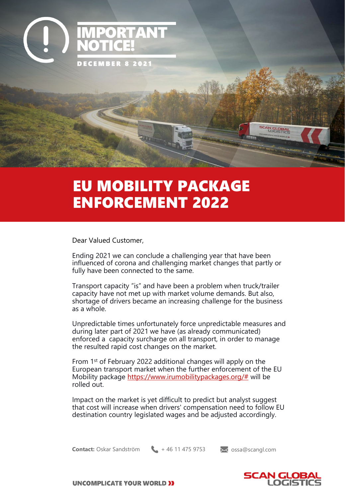

## EU MOBILITY PACKAGE ENFORCEMENT 2022

Dear Valued Customer,

Ending 2021 we can conclude a challenging year that have been influenced of corona and challenging market changes that partly or fully have been connected to the same.

Transport capacity "is" and have been a problem when truck/trailer capacity have not met up with market volume demands. But also, shortage of drivers became an increasing challenge for the business as a whole.

Unpredictable times unfortunately force unpredictable measures and during later part of 2021 we have (as already communicated) enforced a capacity surcharge on all transport, in order to manage the resulted rapid cost changes on the market.

From 1<sup>st</sup> of February 2022 additional changes will apply on the European transport market when the further enforcement of the EU Mobility package [https://www.irumobilitypackages.org/#](https://www.irumobilitypackages.org/) will be rolled out.

Impact on the market is yet difficult to predict but analyst suggest that cost will increase when drivers' compensation need to follow EU destination country legislated wages and be adjusted accordingly.

**Contact:** Oskar Sandström + 46 11 475 9753 and ossa@scangl.com